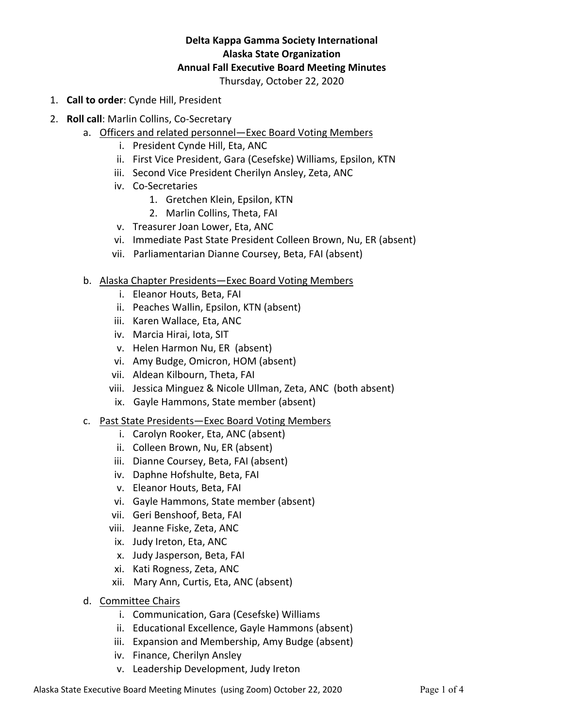# **Delta Kappa Gamma Society International Alaska State Organization Annual Fall Executive Board Meeting Minutes**

Thursday, October 22, 2020

- 1. **Call to order**: Cynde Hill, President
- 2. **Roll call**: Marlin Collins, Co-Secretary
	- a. Officers and related personnel—Exec Board Voting Members
		- i. President Cynde Hill, Eta, ANC
		- ii. First Vice President, Gara (Cesefske) Williams, Epsilon, KTN
		- iii. Second Vice President Cherilyn Ansley, Zeta, ANC
		- iv. Co-Secretaries
			- 1. Gretchen Klein, Epsilon, KTN
			- 2. Marlin Collins, Theta, FAI
		- v. Treasurer Joan Lower, Eta, ANC
		- vi. Immediate Past State President Colleen Brown, Nu, ER (absent)
		- vii. Parliamentarian Dianne Coursey, Beta, FAI (absent)
		- b. Alaska Chapter Presidents—Exec Board Voting Members
			- i. Eleanor Houts, Beta, FAI
			- ii. Peaches Wallin, Epsilon, KTN (absent)
			- iii. Karen Wallace, Eta, ANC
			- iv. Marcia Hirai, Iota, SIT
			- v. Helen Harmon Nu, ER (absent)
			- vi. Amy Budge, Omicron, HOM (absent)
			- vii. Aldean Kilbourn, Theta, FAI
			- viii. Jessica Minguez & Nicole Ullman, Zeta, ANC (both absent)
			- ix. Gayle Hammons, State member (absent)
		- c. Past State Presidents—Exec Board Voting Members
			- i. Carolyn Rooker, Eta, ANC (absent)
			- ii. Colleen Brown, Nu, ER (absent)
			- iii. Dianne Coursey, Beta, FAI (absent)
			- iv. Daphne Hofshulte, Beta, FAI
			- v. Eleanor Houts, Beta, FAI
			- vi. Gayle Hammons, State member (absent)
			- vii. Geri Benshoof, Beta, FAI
			- viii. Jeanne Fiske, Zeta, ANC
			- ix. Judy Ireton, Eta, ANC
			- x. Judy Jasperson, Beta, FAI
			- xi. Kati Rogness, Zeta, ANC
			- xii. Mary Ann, Curtis, Eta, ANC (absent)
		- d. Committee Chairs
			- i. Communication, Gara (Cesefske) Williams
			- ii. Educational Excellence, Gayle Hammons (absent)
			- iii. Expansion and Membership, Amy Budge (absent)
			- iv. Finance, Cherilyn Ansley
			- v. Leadership Development, Judy Ireton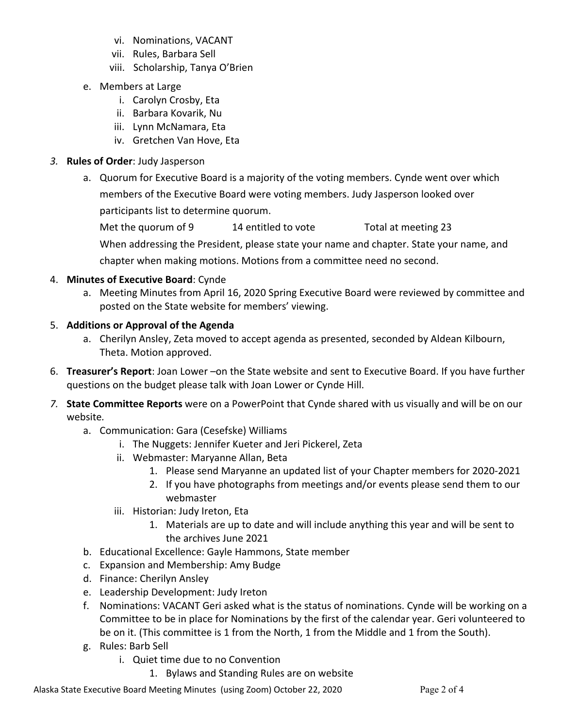- vi. Nominations, VACANT
- vii. Rules, Barbara Sell
- viii. Scholarship, Tanya O'Brien
- e. Members at Large
	- i. Carolyn Crosby, Eta
	- ii. Barbara Kovarik, Nu
	- iii. Lynn McNamara, Eta
	- iv. Gretchen Van Hove, Eta
- *3.* **Rules of Order**: Judy Jasperson
	- a. Quorum for Executive Board is a majority of the voting members. Cynde went over which members of the Executive Board were voting members. Judy Jasperson looked over participants list to determine quorum.

Met the quorum of 9 14 entitled to vote Total at meeting 23 When addressing the President, please state your name and chapter. State your name, and chapter when making motions. Motions from a committee need no second.

### 4. **Minutes of Executive Board**: Cynde

a. Meeting Minutes from April 16, 2020 Spring Executive Board were reviewed by committee and posted on the State website for members' viewing.

### 5. **Additions or Approval of the Agenda**

- a. Cherilyn Ansley, Zeta moved to accept agenda as presented, seconded by Aldean Kilbourn, Theta. Motion approved.
- 6. **Treasurer's Report**: Joan Lower –on the State website and sent to Executive Board. If you have further questions on the budget please talk with Joan Lower or Cynde Hill.
- *7.* **State Committee Reports** were on a PowerPoint that Cynde shared with us visually and will be on our website*.*
	- a. Communication: Gara (Cesefske) Williams
		- i. The Nuggets: Jennifer Kueter and Jeri Pickerel, Zeta
		- ii. Webmaster: Maryanne Allan, Beta
			- 1. Please send Maryanne an updated list of your Chapter members for 2020-2021
			- 2. If you have photographs from meetings and/or events please send them to our webmaster
		- iii. Historian: Judy Ireton, Eta
			- 1. Materials are up to date and will include anything this year and will be sent to the archives June 2021
	- b. Educational Excellence: Gayle Hammons, State member
	- c. Expansion and Membership: Amy Budge
	- d. Finance: Cherilyn Ansley
	- e. Leadership Development: Judy Ireton
	- f. Nominations: VACANT Geri asked what is the status of nominations. Cynde will be working on a Committee to be in place for Nominations by the first of the calendar year. Geri volunteered to be on it. (This committee is 1 from the North, 1 from the Middle and 1 from the South).
	- g. Rules: Barb Sell
		- i. Quiet time due to no Convention
			- 1. Bylaws and Standing Rules are on website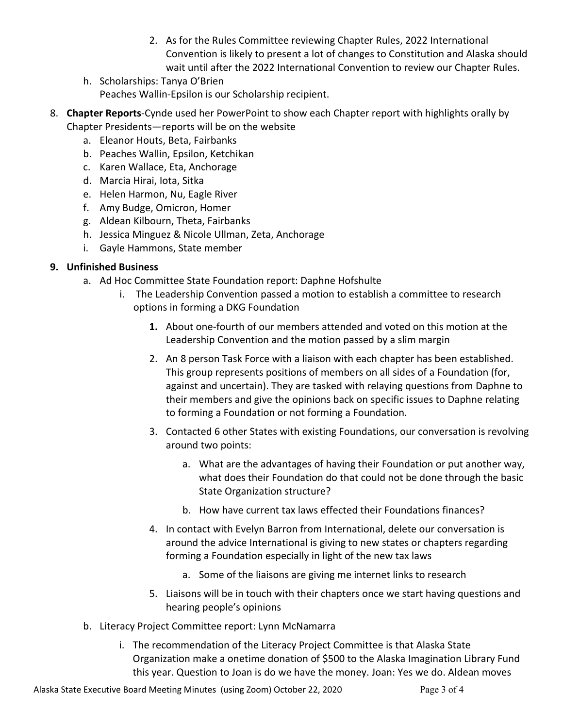- 2. As for the Rules Committee reviewing Chapter Rules, 2022 International Convention is likely to present a lot of changes to Constitution and Alaska should wait until after the 2022 International Convention to review our Chapter Rules.
- h. Scholarships: Tanya O'Brien Peaches Wallin-Epsilon is our Scholarship recipient.
- 8. **Chapter Reports**-Cynde used her PowerPoint to show each Chapter report with highlights orally by Chapter Presidents—reports will be on the website
	- a. Eleanor Houts, Beta, Fairbanks
	- b. Peaches Wallin, Epsilon, Ketchikan
	- c. Karen Wallace, Eta, Anchorage
	- d. Marcia Hirai, Iota, Sitka
	- e. Helen Harmon, Nu, Eagle River
	- f. Amy Budge, Omicron, Homer
	- g. Aldean Kilbourn, Theta, Fairbanks
	- h. Jessica Minguez & Nicole Ullman, Zeta, Anchorage
	- i. Gayle Hammons, State member

## **9. Unfinished Business**

- a. Ad Hoc Committee State Foundation report: Daphne Hofshulte
	- i. The Leadership Convention passed a motion to establish a committee to research options in forming a DKG Foundation
		- **1.** About one-fourth of our members attended and voted on this motion at the Leadership Convention and the motion passed by a slim margin
		- 2. An 8 person Task Force with a liaison with each chapter has been established. This group represents positions of members on all sides of a Foundation (for, against and uncertain). They are tasked with relaying questions from Daphne to their members and give the opinions back on specific issues to Daphne relating to forming a Foundation or not forming a Foundation.
		- 3. Contacted 6 other States with existing Foundations, our conversation is revolving around two points:
			- a. What are the advantages of having their Foundation or put another way, what does their Foundation do that could not be done through the basic State Organization structure?
			- b. How have current tax laws effected their Foundations finances?
		- 4. In contact with Evelyn Barron from International, delete our conversation is around the advice International is giving to new states or chapters regarding forming a Foundation especially in light of the new tax laws
			- a. Some of the liaisons are giving me internet links to research
		- 5. Liaisons will be in touch with their chapters once we start having questions and hearing people's opinions
- b. Literacy Project Committee report: Lynn McNamarra
	- i. The recommendation of the Literacy Project Committee is that Alaska State Organization make a onetime donation of \$500 to the Alaska Imagination Library Fund this year. Question to Joan is do we have the money. Joan: Yes we do. Aldean moves